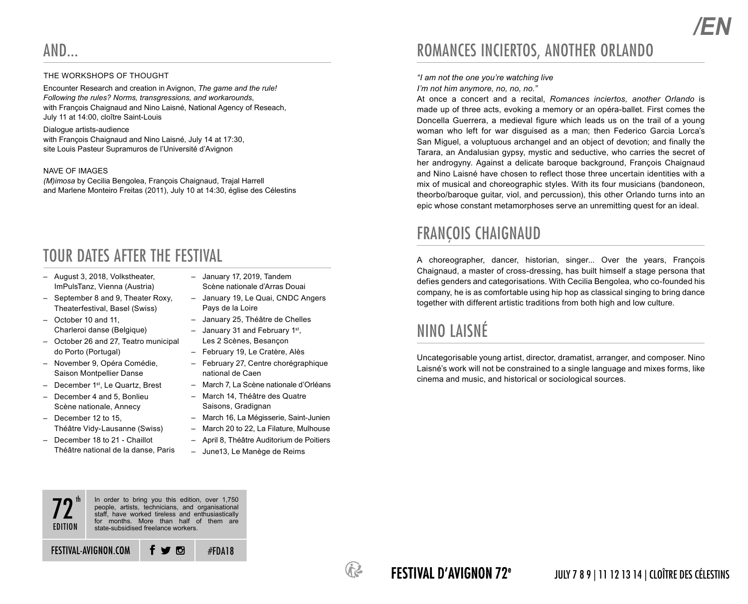#### THE WORKSHOPS OF THOUGHT

Encounter Research and creation in Avignon, *The game and the rule! Following the rules? Norms, transgressions, and workarounds*, with François Chaignaud and Nino Laisné, National Agency of Reseach, July 11 at 14:00, cloître Saint-Louis

#### Dialogue artists-audience

with François Chaignaud and Nino Laisné, July 14 at 17:30, site Louis Pasteur Supramuros de l'Université d'Avignon

#### NAVE OF IMAGES

*(M)imosa* by Cecilia Bengolea, François Chaignaud, Trajal Harrell and Marlene Monteiro Freitas (2011), July 10 at 14:30, église des Célestins

### TOUR DATES AFTER THE FESTIVAL

- August 3, 2018, Volkstheater, ImPulsTanz, Vienna (Austria)
- September 8 and 9, Theater Roxy, Theaterfestival, Basel (Swiss)
- October 10 and 11, Charleroi danse (Belgique)
- October 26 and 27, Teatro municipal do Porto (Portugal)
- November 9, Opéra Comédie, Saison Montpellier Danse
- December 1st, Le Quartz, Brest
- December 4 and 5, Bonlieu Scène nationale, Annecy
- December 12 to 15, Théâtre Vidy-Lausanne (Swiss)
- December 18 to 21 Chaillot Théâtre national de la danse, Paris
- January 17, 2019, Tandem Scène nationale d'Arras Douai
- January 19, Le Quai, CNDC Angers Pays de la Loire
- January 25, Théâtre de Chelles
- $-$  January 31 and February 1st. Les 2 Scènes, Besançon
- February 19, Le Cratère, Alès
- February 27, Centre chorégraphique national de Caen
- March 7, La Scène nationale d'Orléans
- March 14, Théâtre des Quatre Saisons, Gradignan
- March 16, La Mégisserie, Saint-Junien
- March 20 to 22, La Filature, Mulhouse
- April 8, Théâtre Auditorium de Poitiers
- June13, Le Manège de Reims

#FDA18

# ROMANCES INCIERTOS, ANOTHER ORLANDO

### *"I am not the one you're watching live*

*I'm not him anymore, no, no, no."*

At once a concert and a recital, *Romances inciertos, another Orlando* is made up of three acts, evoking a memory or an opéra-ballet. First comes the Doncella Guerrera, a medieval figure which leads us on the trail of a young woman who left for war disguised as a man; then Federico Garcia Lorca's San Miguel, a voluptuous archangel and an object of devotion; and finally the Tarara, an Andalusian gypsy, mystic and seductive, who carries the secret of her androgyny. Against a delicate baroque background, François Chaignaud and Nino Laisné have chosen to reflect those three uncertain identities with a mix of musical and choreographic styles. With its four musicians (bandoneon, theorbo/baroque guitar, viol, and percussion), this other Orlando turns into an epic whose constant metamorphoses serve an unremitting quest for an ideal.

*/EN*

## FRANÇOIS CHAIGNAUD

A choreographer, dancer, historian, singer... Over the years, François Chaignaud, a master of cross-dressing, has built himself a stage persona that defies genders and categorisations. With Cecilia Bengolea, who co-founded his company, he is as comfortable using hip hop as classical singing to bring dance together with different artistic traditions from both high and low culture.

## NINO LAISNÉ

Uncategorisable young artist, director, dramatist, arranger, and composer. Nino Laisné's work will not be constrained to a single language and mixes forms, like cinema and music, and historical or sociological sources.



FESTIVAL-AVIGNON.COM  $f \blacktriangleright$   $\blacksquare$ 



FESTIVAL D'AVIGNON 72e

JULY 7 8 9 | 11 12 13 14 | CLOÎTRE DES CÉLESTINS